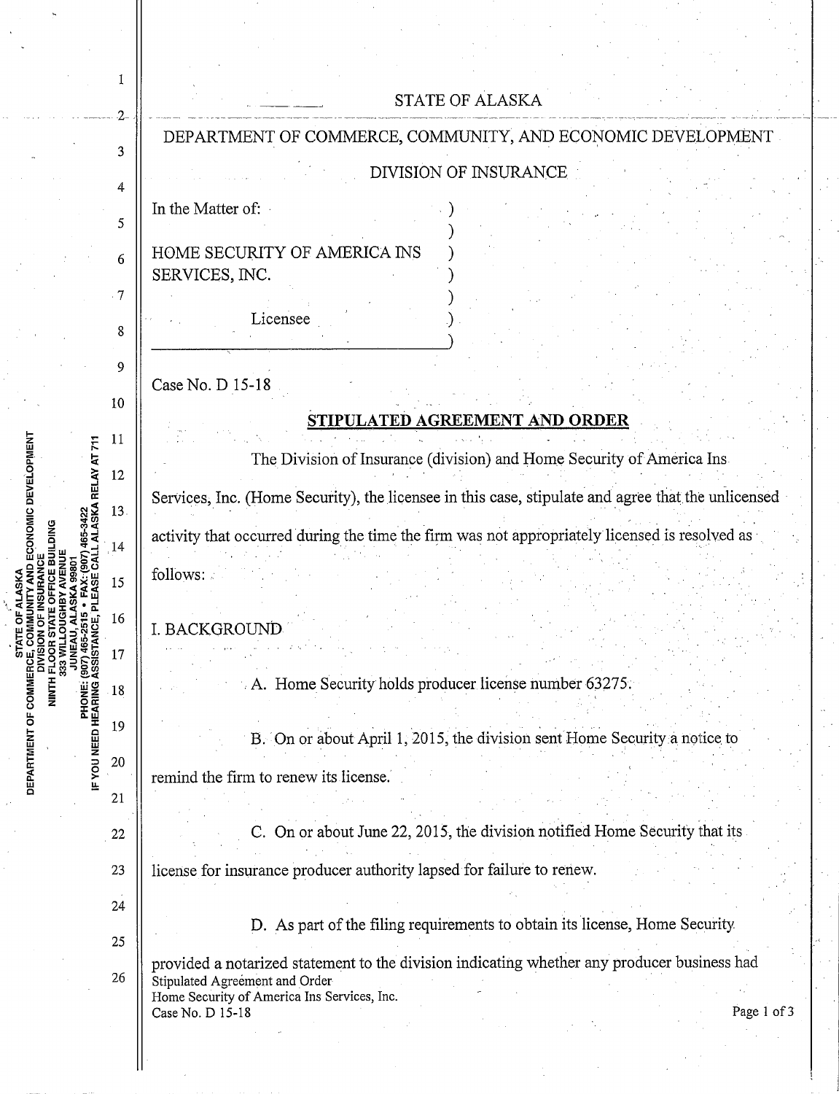|                                                                                                                                  |           | <b>STATE OF ALASKA</b>                                                                                                                                                                                          |
|----------------------------------------------------------------------------------------------------------------------------------|-----------|-----------------------------------------------------------------------------------------------------------------------------------------------------------------------------------------------------------------|
|                                                                                                                                  |           | DEPARTMENT OF COMMERCE, COMMUNITY, AND ECONOMIC DEVELOPMENT                                                                                                                                                     |
|                                                                                                                                  | 3         | DIVISION OF INSURANCE                                                                                                                                                                                           |
|                                                                                                                                  | 4         | In the Matter of:                                                                                                                                                                                               |
|                                                                                                                                  | 5         |                                                                                                                                                                                                                 |
|                                                                                                                                  | 6         | HOME SECURITY OF AMERICA INS<br>SERVICES, INC.                                                                                                                                                                  |
|                                                                                                                                  | $\cdot$ 7 |                                                                                                                                                                                                                 |
|                                                                                                                                  | 8         | Licensee                                                                                                                                                                                                        |
| D ECONOMIC DEVELOPMENT<br>5-3422<br>LASKA RELAY AT 711<br>DEPARTMENT OF COMMER<br><b>PHONE:</b><br>PHONE:<br>IF YOU NEED HEARING | 9         |                                                                                                                                                                                                                 |
|                                                                                                                                  | 10        | Case No. D 15-18                                                                                                                                                                                                |
|                                                                                                                                  |           | <u>STIPULATED AGREEMENT AND ORDER</u>                                                                                                                                                                           |
|                                                                                                                                  | 11        | The Division of Insurance (division) and Home Security of America Ins.                                                                                                                                          |
|                                                                                                                                  | 12        | Services, Inc. (Home Security), the licensee in this case, stipulate and agree that the unlicensed                                                                                                              |
|                                                                                                                                  | 13.       |                                                                                                                                                                                                                 |
|                                                                                                                                  | 14        | activity that occurred during the time the firm was not appropriately licensed is resolved as                                                                                                                   |
|                                                                                                                                  | 15        | follows:                                                                                                                                                                                                        |
|                                                                                                                                  | 16        | I. BACKGROUND                                                                                                                                                                                                   |
|                                                                                                                                  | 17        |                                                                                                                                                                                                                 |
|                                                                                                                                  | 18        | A. Home Security holds producer license number 63275.                                                                                                                                                           |
|                                                                                                                                  | 19        |                                                                                                                                                                                                                 |
|                                                                                                                                  | 20        | B. On or about April 1, 2015, the division sent Home Security a notice to                                                                                                                                       |
|                                                                                                                                  |           | remind the firm to renew its license.                                                                                                                                                                           |
|                                                                                                                                  | 21        |                                                                                                                                                                                                                 |
|                                                                                                                                  | 22        | On or about June 22, 2015, the division notified Home Security that its                                                                                                                                         |
|                                                                                                                                  | 23        | license for insurance producer authority lapsed for failure to renew.                                                                                                                                           |
|                                                                                                                                  | 24        | D. As part of the filing requirements to obtain its license, Home Security                                                                                                                                      |
|                                                                                                                                  | 25        |                                                                                                                                                                                                                 |
|                                                                                                                                  | 26        | provided a notarized statement to the division indicating whether any producer business had<br>Stipulated Agreement and Order<br>Home Security of America Ins Services, Inc.<br>Case No. D 15-18<br>Page 1 of 3 |
|                                                                                                                                  |           |                                                                                                                                                                                                                 |
|                                                                                                                                  |           |                                                                                                                                                                                                                 |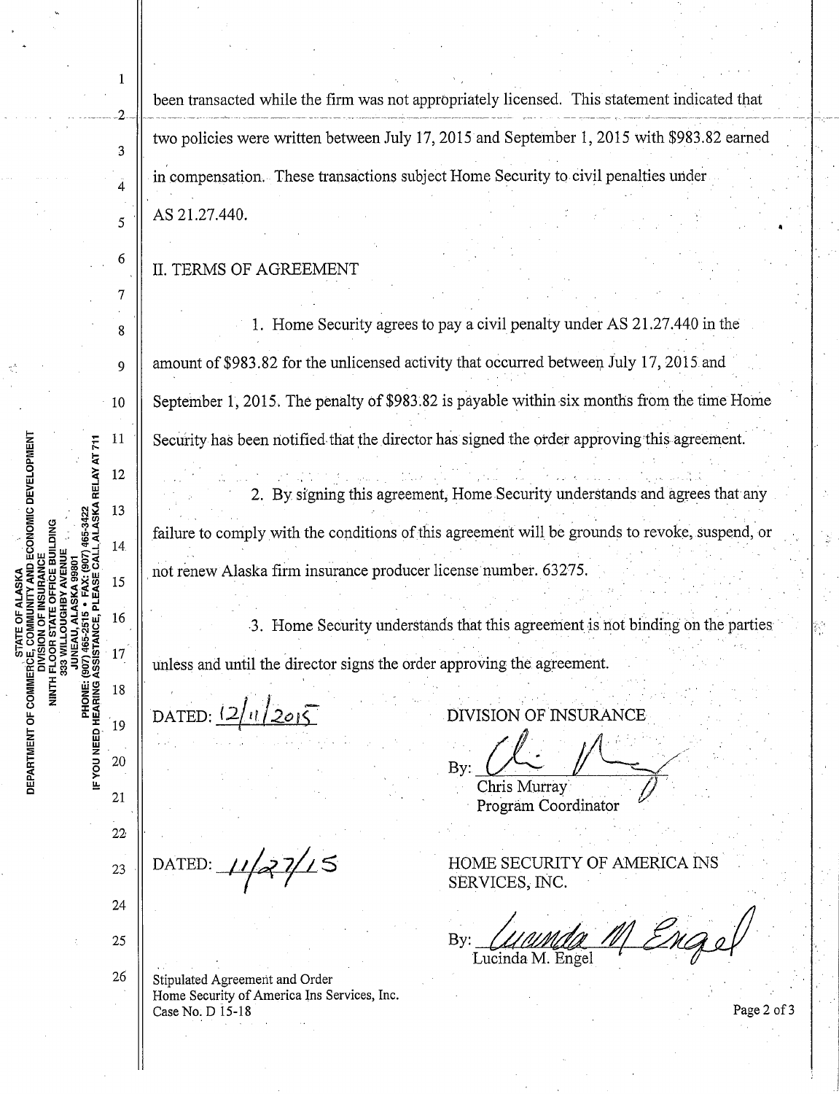been transacted while the firm was not appropriately licensed. This statement indicated that two policies were written between July 17, 2015 and September 1, 2015 with \$983.82 earned in compensation. These transactions subject Home Security to civil penalties under AS 21.27.440.

## **II. TERMS OF AGREEMENT**

1. Home Security agrees to pay a civil penalty under AS 21.27.440 in the amount of \$983.82 for the unlicensed activity that occurred between July 17, 2015 and September 1, 2015. The penalty of \$983.82 is payable within six months from the time Home Security has been notified that the director has signed the order approving this agreement.

2. By signing this agreement, Home Security understands and agrees that any failure to comply with the conditions of this agreement will be grounds to revoke, suspend, or not renew Alaska firm insurance producer license number. 63275.

3. Home Security understands that this agreement is not binding on the parties unless and until the director signs the order approving the agreement.

DATED:  $\frac{2|1|}{20|5}$ 

DATED:  $11/27/15$ 

21  $22<sub>1</sub>$ 23

24

25

26

 $\mathbf{1}$ 

 $\mathcal{D}$ 

 $\overline{3}$ 

À

5

6

 $\tau$ 

8

9

10

11

12

13

14

15

16

17

18

19

20

PHONE: (907) 465-2515 • FAX: (907) 465-3422<br>IF YOU NEED HEARING ASSISTANCE, PLEASE CALL ALASKA RELAY AT 711

**MUNITY AND ECONOMIC DEVELOPMENT** 

**DEPARTMENT OF COMMERCE, COMMUNITY AND**<br>DIVISION OF INSURAN<br>DIVISION OF INSURAN<br>DIVISION OF INSURANT PLOOR STATE OFFICE<br>S33 WILLOUGHBY AVEN

Stipulated Agreement and Order Home Security of America Ins Services, Inc. Case No. D 15-18

DIVISION OF INSURANCE

Chris Murray Program Coordinator

HOME SECURITY OF AMERICA INS SERVICES, INC.

M Engel  $Bv:$ Lucinda M. Engel

Page 2 of 3